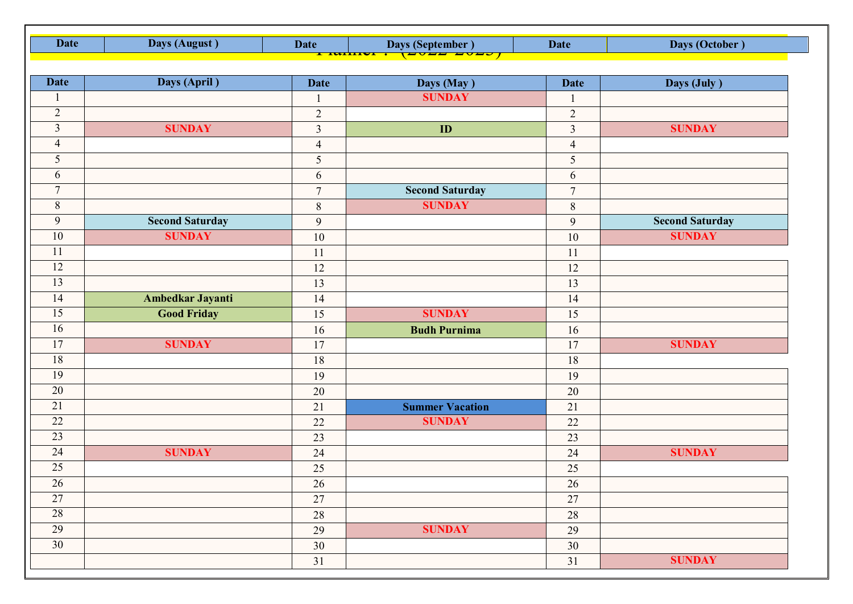| <b>Date</b>     | Days (August)          | <b>Date</b><br><del>i iwilit</del> | Days (September)       | <b>Date</b>    | Days (October)         |
|-----------------|------------------------|------------------------------------|------------------------|----------------|------------------------|
|                 |                        |                                    |                        |                |                        |
| <b>Date</b>     | Days (April)           | <b>Date</b>                        | Days (May)             | <b>Date</b>    | Days (July)            |
|                 |                        | $\mathbf{1}$                       | <b>SUNDAY</b>          |                |                        |
| $\overline{2}$  |                        | $\overline{2}$                     |                        | $\sqrt{2}$     |                        |
| $\overline{3}$  | <b>SUNDAY</b>          | $\overline{3}$                     | ID                     | $\mathfrak{Z}$ | <b>SUNDAY</b>          |
| $\overline{4}$  |                        | $\overline{4}$                     |                        | $\overline{4}$ |                        |
| 5               |                        | 5                                  |                        | $\sqrt{5}$     |                        |
| 6               |                        | 6                                  |                        | $6\,$          |                        |
| $\overline{7}$  |                        | $\overline{7}$                     | <b>Second Saturday</b> | $\overline{7}$ |                        |
| $8\,$           |                        | $\,8\,$                            | <b>SUNDAY</b>          | $\,8\,$        |                        |
| 9               | <b>Second Saturday</b> | 9                                  |                        | 9              | <b>Second Saturday</b> |
| 10              | <b>SUNDAY</b>          | 10                                 |                        | $10\,$         | <b>SUNDAY</b>          |
| 11              |                        | 11                                 |                        | 11             |                        |
| 12              |                        | 12                                 |                        | 12             |                        |
| $\overline{13}$ |                        | 13                                 |                        | 13             |                        |
| 14              | Ambedkar Jayanti       | 14                                 |                        | 14             |                        |
| $\overline{15}$ | <b>Good Friday</b>     | 15                                 | <b>SUNDAY</b>          | 15             |                        |
| 16              |                        | 16                                 | <b>Budh Purnima</b>    | 16             |                        |
| $\overline{17}$ | <b>SUNDAY</b>          | 17                                 |                        | 17             | <b>SUNDAY</b>          |
| 18              |                        | 18                                 |                        | 18             |                        |
| $\overline{19}$ |                        | 19                                 |                        | 19             |                        |
| 20              |                        | 20                                 |                        | 20             |                        |
| $\overline{21}$ |                        | $21\,$                             | <b>Summer Vacation</b> | 21             |                        |
| 22              |                        | 22                                 | <b>SUNDAY</b>          | 22             |                        |
| $\overline{23}$ |                        | $\overline{23}$                    |                        | 23             |                        |
| $\overline{24}$ | <b>SUNDAY</b>          | 24                                 |                        | 24             | <b>SUNDAY</b>          |
| $\overline{25}$ |                        | $25\,$                             |                        | $25\,$         |                        |
| $\overline{26}$ |                        | $26\,$                             |                        | $26\,$         |                        |
| 27              |                        | 27                                 |                        | $27\,$         |                        |
| 28              |                        | $28\,$                             |                        | $28\,$         |                        |
| 29              |                        | 29                                 | <b>SUNDAY</b>          | 29             |                        |
| $\overline{30}$ |                        | $30\,$                             |                        | $30\,$         |                        |
|                 |                        | 31                                 |                        | 31             | <b>SUNDAY</b>          |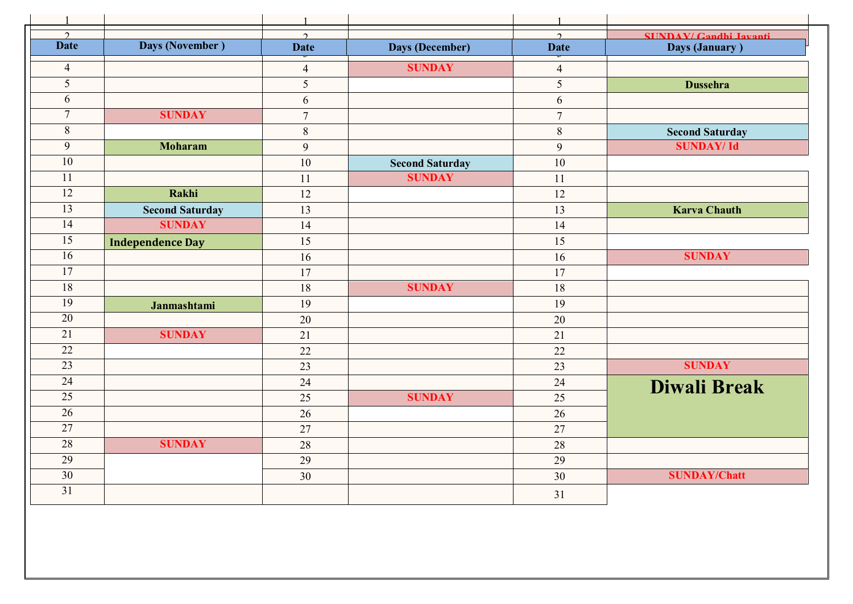|                 |                         | $\mathbf{1}$   |                        | $\mathbf{1}$             |                               |
|-----------------|-------------------------|----------------|------------------------|--------------------------|-------------------------------|
| $\mathcal{D}$   |                         | $\mathcal{L}$  |                        | $\gamma$                 | <b>SHNDAV/ Gandhi Javanti</b> |
| <b>Date</b>     | Days (November)         | <b>Date</b>    | <b>Days (December)</b> | <b>Date</b>              | Days (January)                |
| $\overline{4}$  |                         | $\overline{4}$ | <b>SUNDAY</b>          | $\overline{\mathcal{A}}$ |                               |
| 5               |                         | 5              |                        | 5                        | <b>Dussehra</b>               |
| 6               |                         | 6              |                        | 6                        |                               |
| $\overline{7}$  | <b>SUNDAY</b>           | $\overline{7}$ |                        | $\overline{7}$           |                               |
| $8\,$           |                         | $\,8\,$        |                        | $\,8\,$                  | <b>Second Saturday</b>        |
| 9               | <b>Moharam</b>          | 9              |                        | 9                        | <b>SUNDAY/Id</b>              |
| $\overline{10}$ |                         | 10             | <b>Second Saturday</b> | 10                       |                               |
| 11              |                         | 11             | <b>SUNDAY</b>          | 11                       |                               |
| $\overline{12}$ | Rakhi                   | 12             |                        | 12                       |                               |
| 13              | <b>Second Saturday</b>  | 13             |                        | 13                       | <b>Karva Chauth</b>           |
| $\overline{14}$ | <b>SUNDAY</b>           | 14             |                        | 14                       |                               |
| 15              | <b>Independence Day</b> | 15             |                        | 15                       |                               |
| $\overline{16}$ |                         | 16             |                        | 16                       | <b>SUNDAY</b>                 |
| $\overline{17}$ |                         | 17             |                        | 17                       |                               |
| 18              |                         | 18             | <b>SUNDAY</b>          | 18                       |                               |
| 19              | Janmashtami             | 19             |                        | 19                       |                               |
| 20              |                         | 20             |                        | 20                       |                               |
| $\overline{21}$ | <b>SUNDAY</b>           | 21             |                        | 21                       |                               |
| $\overline{22}$ |                         | 22             |                        | 22                       |                               |
| 23              |                         | 23             |                        | 23                       | <b>SUNDAY</b>                 |
| 24              |                         | 24             |                        | 24                       | <b>Diwali Break</b>           |
| $\overline{25}$ |                         | 25             | <b>SUNDAY</b>          | 25                       |                               |
| 26              |                         | 26             |                        | 26                       |                               |
| $\overline{27}$ |                         | 27             |                        | 27                       |                               |
| 28              | <b>SUNDAY</b>           | 28             |                        | 28                       |                               |
| 29              |                         | 29             |                        | 29                       |                               |
| 30              |                         | 30             |                        | 30                       | <b>SUNDAY/Chatt</b>           |
| $\overline{31}$ |                         |                |                        | 31                       |                               |
|                 |                         |                |                        |                          |                               |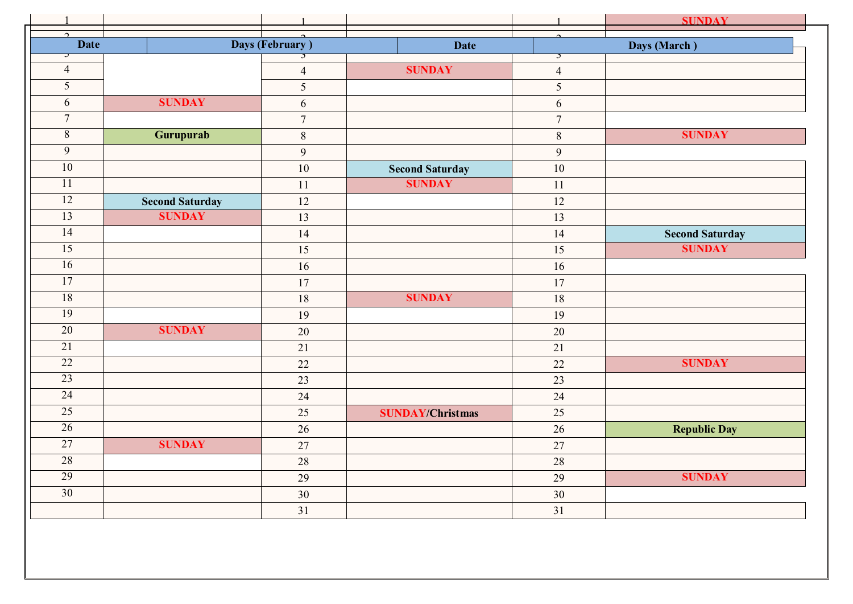|                         |                        | $\mathbf{1}$    |                         | $\mathbf{1}$   | <b>SUNDAY</b>          |
|-------------------------|------------------------|-----------------|-------------------------|----------------|------------------------|
| $\Omega$<br><b>Date</b> |                        | Days (February) | <b>Date</b>             | $\sim$         | Days (March)           |
| ⊃<br>$\overline{4}$     |                        | J               | <b>SUNDAY</b>           | $\mathcal{I}$  |                        |
| $\overline{5}$          |                        | $\overline{4}$  |                         | $\overline{4}$ |                        |
| 6                       | <b>SUNDAY</b>          | 5               |                         | 5              |                        |
| $\tau$                  |                        | $\sqrt{6}$      |                         | 6              |                        |
|                         |                        | $\overline{7}$  |                         | $\overline{7}$ |                        |
| $8\,$                   | Gurupurab              | $\,8\,$         |                         | $8\,$          | <b>SUNDAY</b>          |
| 9                       |                        | 9               |                         | $\mathfrak{g}$ |                        |
| 10                      |                        | 10              | <b>Second Saturday</b>  | 10             |                        |
| 11                      |                        | 11              | <b>SUNDAY</b>           | 11             |                        |
| 12                      | <b>Second Saturday</b> | 12              |                         | 12             |                        |
| 13                      | <b>SUNDAY</b>          | 13              |                         | 13             |                        |
| 14                      |                        | 14              |                         | 14             | <b>Second Saturday</b> |
| $\overline{15}$         |                        | 15              |                         | 15             | <b>SUNDAY</b>          |
| 16                      |                        | 16              |                         | 16             |                        |
| 17                      |                        | 17              |                         | $17$           |                        |
| 18                      |                        | 18              | <b>SUNDAY</b>           | 18             |                        |
| 19                      |                        | 19              |                         | 19             |                        |
| $\overline{20}$         | <b>SUNDAY</b>          | $20\,$          |                         | $20\,$         |                        |
| 21                      |                        | 21              |                         | 21             |                        |
| $\overline{22}$         |                        | 22              |                         | 22             | <b>SUNDAY</b>          |
| 23                      |                        | 23              |                         | 23             |                        |
| $\overline{24}$         |                        | 24              |                         | 24             |                        |
| 25                      |                        | 25              | <b>SUNDAY/Christmas</b> | 25             |                        |
| $\overline{26}$         |                        | 26              |                         | $26\,$         | <b>Republic Day</b>    |
| 27                      | <b>SUNDAY</b>          | 27              |                         | 27             |                        |
| 28                      |                        | 28              |                         | 28             |                        |
| 29                      |                        | 29              |                         | 29             | <b>SUNDAY</b>          |
| $\overline{30}$         |                        | 30              |                         | 30             |                        |
|                         |                        | 31              |                         | 31             |                        |
|                         |                        |                 |                         |                |                        |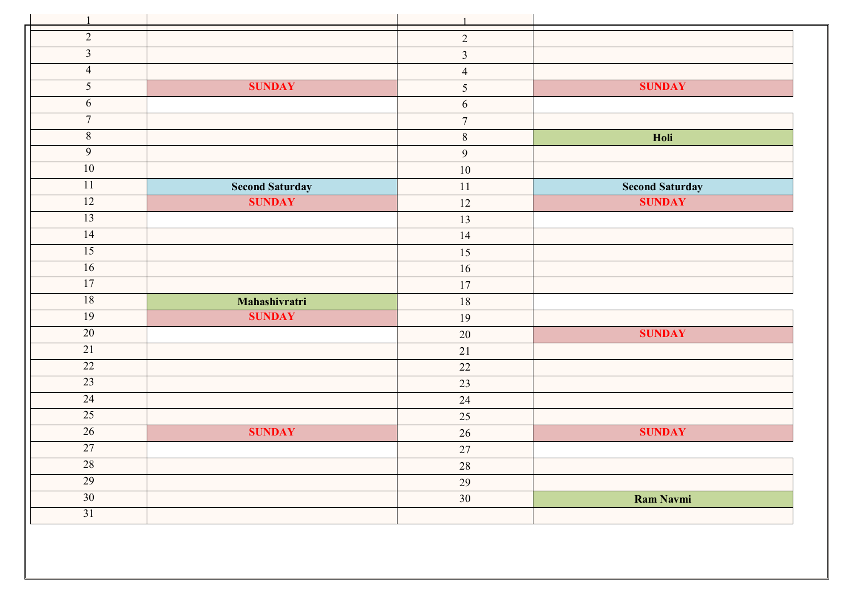| $\mathbf{1}$    |                        | $\mathbf{1}$            |                        |
|-----------------|------------------------|-------------------------|------------------------|
| $\overline{2}$  |                        | $\overline{2}$          |                        |
| $\overline{3}$  |                        | $\overline{\mathbf{3}}$ |                        |
| $\overline{4}$  |                        | $\overline{4}$          |                        |
| $\overline{5}$  | <b>SUNDAY</b>          | 5                       | <b>SUNDAY</b>          |
| 6               |                        | 6                       |                        |
| $\overline{7}$  |                        | $\overline{7}$          |                        |
| $\overline{8}$  |                        | $\,8\,$                 | Holi                   |
| $\overline{9}$  |                        | $\overline{9}$          |                        |
| 10              |                        | $10\,$                  |                        |
| 11              | <b>Second Saturday</b> | 11                      | <b>Second Saturday</b> |
| 12              | <b>SUNDAY</b>          | 12                      | <b>SUNDAY</b>          |
| 13              |                        | 13                      |                        |
| 14              |                        | 14                      |                        |
| 15              |                        | 15                      |                        |
| 16              |                        | 16                      |                        |
| 17              |                        | 17                      |                        |
| 18              | Mahashivratri          | 18                      |                        |
| 19              | <b>SUNDAY</b>          | 19                      |                        |
| 20              |                        | 20                      | <b>SUNDAY</b>          |
| 21              |                        | 21                      |                        |
| 22              |                        | 22                      |                        |
| 23              |                        | 23                      |                        |
| 24              |                        | 24                      |                        |
| 25              |                        | 25                      |                        |
| 26              | <b>SUNDAY</b>          | 26                      | <b>SUNDAY</b>          |
| 27              |                        | 27                      |                        |
| 28              |                        | 28                      |                        |
| 29              |                        | 29                      |                        |
| $\overline{30}$ |                        | 30                      | <b>Ram Navmi</b>       |
| 31              |                        |                         |                        |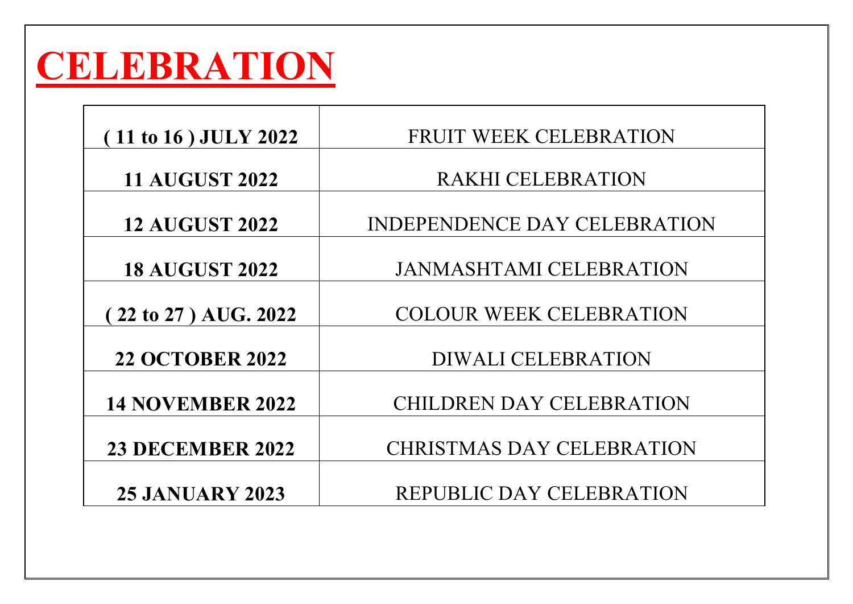## **CELEBRATION**

| (11 to 16) JULY 2022    | FRUIT WEEK CELEBRATION           |
|-------------------------|----------------------------------|
| <b>11 AUGUST 2022</b>   | <b>RAKHI CELEBRATION</b>         |
| <b>12 AUGUST 2022</b>   | INDEPENDENCE DAY CELEBRATION     |
| <b>18 AUGUST 2022</b>   | <b>JANMASHTAMI CELEBRATION</b>   |
| (22 to 27) AUG. 2022    | <b>COLOUR WEEK CELEBRATION</b>   |
| <b>22 OCTOBER 2022</b>  | <b>DIWALI CELEBRATION</b>        |
| <b>14 NOVEMBER 2022</b> | <b>CHILDREN DAY CELEBRATION</b>  |
| <b>23 DECEMBER 2022</b> | <b>CHRISTMAS DAY CELEBRATION</b> |
| <b>25 JANUARY 2023</b>  | <b>REPUBLIC DAY CELEBRATION</b>  |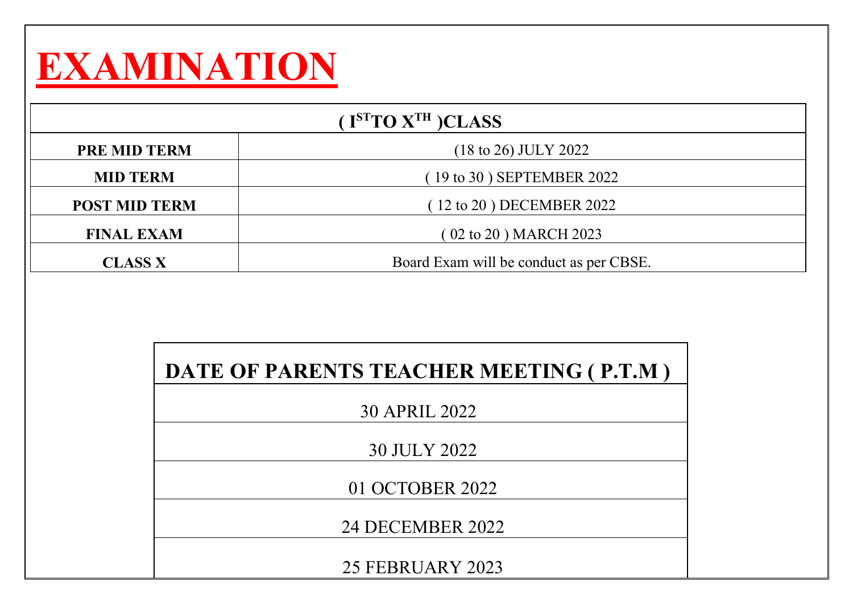## **EXAMINATION**

| $($ I <sup>ST</sup> TO $X$ <sup>TH</sup> $)$ CLASS |                                         |  |
|----------------------------------------------------|-----------------------------------------|--|
| <b>PRE MID TERM</b>                                | $(18 \text{ to } 26)$ JULY 2022         |  |
| <b>MID TERM</b>                                    | $(19 \text{ to } 30)$ SEPTEMBER 2022    |  |
| <b>POST MID TERM</b>                               | $(12 \text{ to } 20)$ DECEMBER 2022     |  |
| <b>FINAL EXAM</b>                                  | (02 to 20) MARCH 2023                   |  |
| <b>CLASS X</b>                                     | Board Exam will be conduct as per CBSE. |  |

| DATE OF PARENTS TEACHER MEETING (P.T.M) |
|-----------------------------------------|
| 30 APRIL 2022                           |
| 30 JULY 2022                            |
| 01 OCTOBER 2022                         |
| 24 DECEMBER 2022                        |
| 25 FEBRUARY 2023                        |